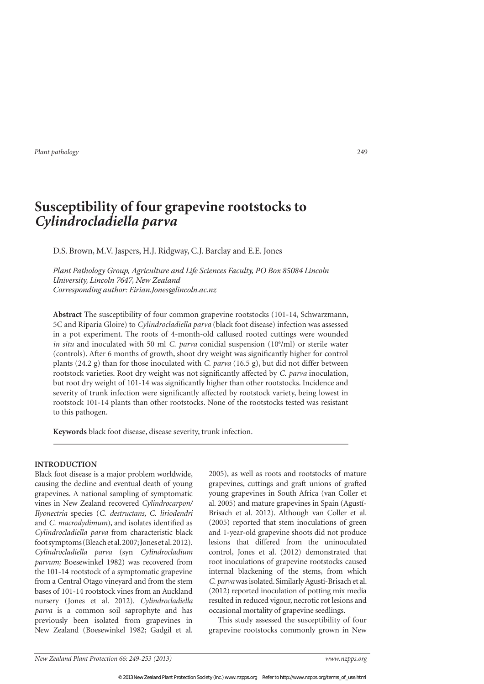# **Susceptibility of four grapevine rootstocks to**  *Cylindrocladiella parva*

D.S. Brown, M.V. Jaspers, H.J. Ridgway, C.J. Barclay and E.E. Jones

Plant Pathology Group, Agriculture and Life Sciences Faculty, PO Box 85084 Lincoln University, Lincoln 7647, New Zealand Corresponding author: Eirian.Jones@lincoln.ac.nz

**Abstract** The susceptibility of four common grapevine rootstocks (101-14, Schwarzmann, 5C and Riparia Gloire) to *Cylindrocladiella parva* (black foot disease) infection was assessed in a pot experiment. The roots of 4-month-old callused rooted cuttings were wounded *in situ* and inoculated with 50 ml *C. parva* conidial suspension (10<sup>6</sup>/ml) or sterile water (controls). After 6 months of growth, shoot dry weight was signiicantly higher for control plants (24.2 g) than for those inoculated with *C. parva* (16.5 g), but did not differ between rootstock varieties. Root dry weight was not signiicantly affected by *C. parva* inoculation, but root dry weight of 101-14 was signiicantly higher than other rootstocks. Incidence and severity of trunk infection were signiicantly affected by rootstock variety, being lowest in rootstock 101-14 plants than other rootstocks. None of the rootstocks tested was resistant to this pathogen.

**Keywords** black foot disease, disease severity, trunk infection.

# **INTRODUCTION**

Black foot disease is a major problem worldwide, causing the decline and eventual death of young grapevines. A national sampling of symptomatic vines in New Zealand recovered *Cylindrocarpon/ Ilyonectria* species (*C. destructans*, *C. liriodendri* and *C. macrodydimum*), and isolates identified as *Cylindrocladiella parva* from characteristic black foot symptoms (Bleach et al. 2007; Jones et al. 2012). *Cylindrocladiella parva* (syn *Cylindrocladium parvum;* Boesewinkel 1982) was recovered from the 101-14 rootstock of a symptomatic grapevine from a Central Otago vineyard and from the stem bases of 101-14 rootstock vines from an Auckland nursery (Jones et al. 2012). *Cylindrocladiella parva* is a common soil saprophyte and has previously been isolated from grapevines in New Zealand (Boesewinkel 1982; Gadgil et al.

2005), as well as roots and rootstocks of mature grapevines, cuttings and graft unions of grafted young grapevines in South Africa (van Coller et al. 2005) and mature grapevines in Spain (Agustí-Brisach et al. 2012). Although van Coller et al. (2005) reported that stem inoculations of green and 1-year-old grapevine shoots did not produce lesions that differed from the uninoculated control, Jones et al. (2012) demonstrated that root inoculations of grapevine rootstocks caused internal blackening of the stems, from which *C. parva* was isolated. Similarly Agustí-Brisach et al. (2012) reported inoculation of potting mix media resulted in reduced vigour, necrotic rot lesions and occasional mortality of grapevine seedlings.

This study assessed the susceptibility of four grapevine rootstocks commonly grown in New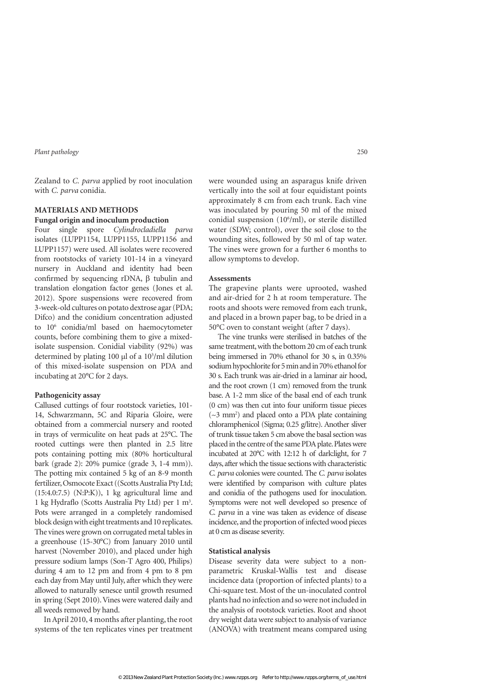Zealand to *C. parva* applied by root inoculation with *C. parva* conidia.

# **MATERIALS AND METHODS Fungal origin and inoculum production**

Four single spore *Cylindrocladiella parva* isolates (LUPP1154, LUPP1155, LUPP1156 and LUPP1157) were used. All isolates were recovered from rootstocks of variety 101-14 in a vineyard nursery in Auckland and identity had been confirmed by sequencing rDNA,  $\beta$  tubulin and translation elongation factor genes (Jones et al. 2012). Spore suspensions were recovered from 3-week-old cultures on potato dextrose agar (PDA; Difco) and the conidium concentration adjusted to 10<sup>6</sup> conidia/ml based on haemocytometer counts, before combining them to give a mixedisolate suspension. Conidial viability (92%) was determined by plating 100 µl of a 10<sup>3</sup>/ml dilution of this mixed-isolate suspension on PDA and incubating at 20°C for 2 days.

## **Pathogenicity assay**

Callused cuttings of four rootstock varieties, 101- 14, Schwarzmann, 5C and Riparia Gloire, were obtained from a commercial nursery and rooted in trays of vermiculite on heat pads at 25°C. The rooted cuttings were then planted in 2.5 litre pots containing potting mix (80% horticultural bark (grade 2): 20% pumice (grade 3, 1-4 mm)). The potting mix contained 5 kg of an 8-9 month fertilizer, Osmocote Exact ((Scotts Australia Pty Ltd; (15:4.0:7.5) (N:P:K)), 1 kg agricultural lime and 1 kg Hydraflo (Scotts Australia Pty Ltd) per 1 m<sup>3</sup>. Pots were arranged in a completely randomised block design with eight treatments and 10 replicates. The vines were grown on corrugated metal tables in a greenhouse (15-30°C) from January 2010 until harvest (November 2010), and placed under high pressure sodium lamps (Son-T Agro 400, Philips) during 4 am to 12 pm and from 4 pm to 8 pm each day from May until July, after which they were allowed to naturally senesce until growth resumed in spring (Sept 2010). Vines were watered daily and all weeds removed by hand.

In April 2010, 4 months after planting, the root systems of the ten replicates vines per treatment

were wounded using an asparagus knife driven vertically into the soil at four equidistant points approximately 8 cm from each trunk. Each vine was inoculated by pouring 50 ml of the mixed conidial suspension (10<sup>6</sup> /ml), or sterile distilled water (SDW; control), over the soil close to the wounding sites, followed by 50 ml of tap water. The vines were grown for a further 6 months to allow symptoms to develop.

#### **Assessments**

The grapevine plants were uprooted, washed and air-dried for 2 h at room temperature. The roots and shoots were removed from each trunk, and placed in a brown paper bag, to be dried in a 50°C oven to constant weight (after 7 days).

The vine trunks were sterilised in batches of the same treatment, with the bottom 20 cm of each trunk being immersed in 70% ethanol for 30 s, in 0.35% sodium hypochlorite for 5 min and in 70% ethanol for 30 s. Each trunk was air-dried in a laminar air hood, and the root crown (1 cm) removed from the trunk base. A 1-2 mm slice of the basal end of each trunk (0 cm) was then cut into four uniform tissue pieces (~3 mm<sup>2</sup> ) and placed onto a PDA plate containing chloramphenicol (Sigma; 0.25 g/litre). Another sliver of trunk tissue taken 5 cm above the basal section was placed in the centre of the same PDA plate. Plates were incubated at 20°C with 12:12 h of dark:light, for 7 days, after which the tissue sections with characteristic *C. parva* colonies were counted. The *C. parva* isolates were identified by comparison with culture plates and conidia of the pathogens used for inoculation. Symptoms were not well developed so presence of *C. parva* in a vine was taken as evidence of disease incidence, and the proportion of infected wood pieces at 0 cm as disease severity.

#### **Statistical analysis**

Disease severity data were subject to a nonparametric Kruskal-Wallis test and disease incidence data (proportion of infected plants) to a Chi-square test. Most of the un-inoculated control plants had no infection and so were not included in the analysis of rootstock varieties. Root and shoot dry weight data were subject to analysis of variance (ANOVA) with treatment means compared using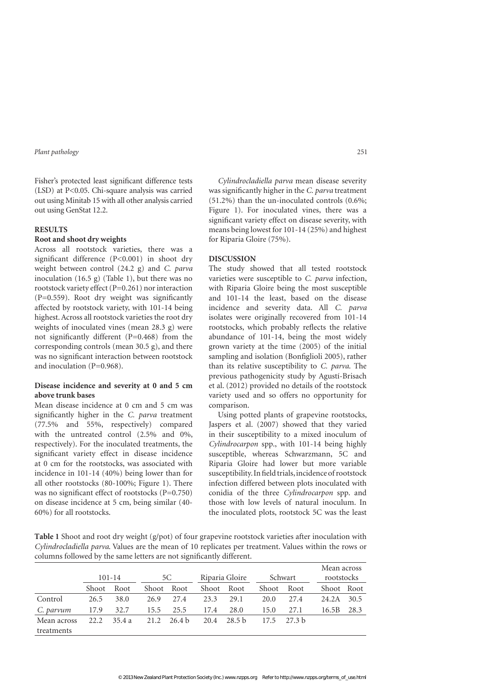Fisher's protected least significant difference tests (LSD) at P<0.05. Chi-square analysis was carried out using Minitab 15 with all other analysis carried out using GenStat 12.2.

#### **RESULTS**

#### **Root and shoot dry weights**

Across all rootstock varieties, there was a significant difference  $(P<0.001)$  in shoot dry weight between control (24.2 g) and *C. parva* inoculation (16.5 g) (Table 1), but there was no rootstock variety effect (P=0.261) nor interaction  $(P=0.559)$ . Root dry weight was significantly affected by rootstock variety, with 101-14 being highest. Across all rootstock varieties the root dry weights of inoculated vines (mean 28.3 g) were not significantly different  $(P=0.468)$  from the corresponding controls (mean 30.5 g), and there was no significant interaction between rootstock and inoculation (P=0.968).

## **Disease incidence and severity at 0 and 5 cm above trunk bases**

Mean disease incidence at 0 cm and 5 cm was signiicantly higher in the *C. parva* treatment (77.5% and 55%, respectively) compared with the untreated control (2.5% and 0%, respectively). For the inoculated treatments, the significant variety effect in disease incidence at 0 cm for the rootstocks, was associated with incidence in 101-14 (40%) being lower than for all other rootstocks (80-100%; Figure 1). There was no significant effect of rootstocks (P=0.750) on disease incidence at 5 cm, being similar (40- 60%) for all rootstocks.

*Cylindrocladiella parva* mean disease severity was signiicantly higher in the *C. parva* treatment (51.2%) than the un-inoculated controls (0.6%; Figure 1). For inoculated vines, there was a significant variety effect on disease severity, with means being lowest for 101-14 (25%) and highest for Riparia Gloire (75%).

## **DISCUSSION**

The study showed that all tested rootstock varieties were susceptible to *C. parva* infection, with Riparia Gloire being the most susceptible and 101-14 the least, based on the disease incidence and severity data. All *C. parva* isolates were originally recovered from 101-14 rootstocks, which probably relects the relative abundance of 101-14, being the most widely grown variety at the time (2005) of the initial sampling and isolation (Bonfiglioli 2005), rather than its relative susceptibility to *C. parva*. The previous pathogenicity study by Agustí-Brisach et al. (2012) provided no details of the rootstock variety used and so offers no opportunity for comparison.

Using potted plants of grapevine rootstocks, Jaspers et al. (2007) showed that they varied in their susceptibility to a mixed inoculum of *Cylindrocarpon* spp., with 101-14 being highly susceptible, whereas Schwarzmann, 5C and Riparia Gloire had lower but more variable susceptibility. In field trials, incidence of rootstock infection differed between plots inoculated with conidia of the three *Cylindrocarpon* spp. and those with low levels of natural inoculum. In the inoculated plots, rootstock 5C was the least

**Table 1** Shoot and root dry weight (g/pot) of four grapevine rootstock varieties after inoculation with *Cylindrocladiella parva*. Values are the mean of 10 replicates per treatment. Values within the rows or columns followed by the same letters are not significantly different.

|             | $101 - 14$ |       | 5C         |        | Riparia Gloire |        | Schwart |        |       | Mean across<br>rootstocks |  |
|-------------|------------|-------|------------|--------|----------------|--------|---------|--------|-------|---------------------------|--|
|             | Shoot      | Root  | Shoot Root |        | Shoot Root     |        | Shoot   | Root   |       | Shoot Root                |  |
| Control     | 26.5       | 38.0  | 26.9       | 27.4   | 23.3           | 29.1   | 20.0    | 2.7.4  | 24.2A | 30.5                      |  |
| C. parvum   | 17.9       | 32.7  | 15.5       | 25.5   | 17.4           | 28.0   | 15.0    | 27.1   | 16.5B | 28.3                      |  |
| Mean across | 22.2.      | 35.4a | 21.2       | 26.4 h | 20.4           | 28.5 h | 17.5    | 27.3 h |       |                           |  |
| treatments  |            |       |            |        |                |        |         |        |       |                           |  |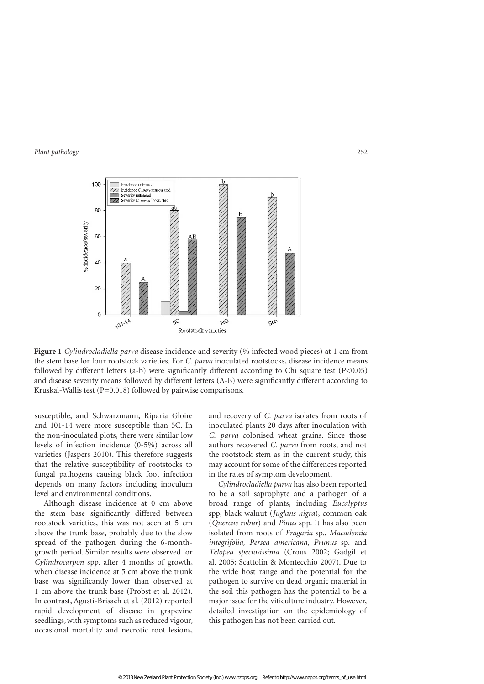

**Figure 1** *Cylindrocladiella parva* disease incidence and severity (% infected wood pieces) at 1 cm from the stem base for four rootstock varieties. For *C. parva* inoculated rootstocks, disease incidence means followed by different letters (a-b) were significantly different according to Chi square test  $(P<0.05)$ and disease severity means followed by different letters (A-B) were signiicantly different according to Kruskal-Wallis test (P=0.018) followed by pairwise comparisons.

susceptible, and Schwarzmann, Riparia Gloire and 101-14 were more susceptible than 5C. In the non-inoculated plots, there were similar low levels of infection incidence (0-5%) across all varieties (Jaspers 2010). This therefore suggests that the relative susceptibility of rootstocks to fungal pathogens causing black foot infection depends on many factors including inoculum level and environmental conditions.

Although disease incidence at 0 cm above the stem base significantly differed between rootstock varieties, this was not seen at 5 cm above the trunk base, probably due to the slow spread of the pathogen during the 6-monthgrowth period. Similar results were observed for *Cylindrocarpon* spp. after 4 months of growth, when disease incidence at 5 cm above the trunk base was significantly lower than observed at 1 cm above the trunk base (Probst et al. 2012). In contrast, Agustí-Brisach et al. (2012) reported rapid development of disease in grapevine seedlings, with symptoms such as reduced vigour, occasional mortality and necrotic root lesions,

and recovery of *C. parva* isolates from roots of inoculated plants 20 days after inoculation with *C. parva* colonised wheat grains. Since those authors recovered *C. parva* from roots, and not the rootstock stem as in the current study, this may account for some of the differences reported in the rates of symptom development.

*Cylindrocladiella parva* has also been reported to be a soil saprophyte and a pathogen of a broad range of plants, including *Eucalyptus* spp, black walnut (*Juglans nigra*), common oak (*Quercus robur*) and *Pinus* spp. It has also been isolated from roots of *Fragaria* sp., *Macademia integrifolia*, *Persea americana*, *Prunus* sp. and *Telopea speciosissima* (Crous 2002; Gadgil et al. 2005; Scattolin & Montecchio 2007). Due to the wide host range and the potential for the pathogen to survive on dead organic material in the soil this pathogen has the potential to be a major issue for the viticulture industry. However, detailed investigation on the epidemiology of this pathogen has not been carried out.